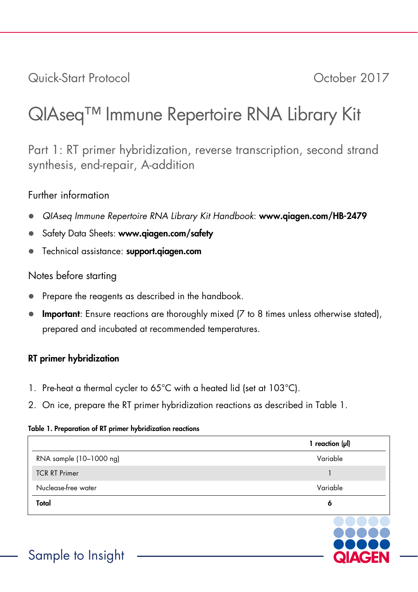Quick-Start Protocol October 2017

# QIAseq™ Immune Repertoire RNA Library Kit

Part 1: RT primer hybridization, reverse transcription, second strand synthesis, end-repair, A-addition

# Further information

- *QIAseq Immune Repertoire RNA Library Kit Handbook*: www.qiagen.com/HB-2479
- Safety Data Sheets: www.giagen.com/safety
- Technical assistance: support.aiagen.com

# Notes before starting

- Prepare the reagents as described in the handbook.
- Important: Ensure reactions are thoroughly mixed (7 to 8 times unless otherwise stated), prepared and incubated at recommended temperatures.

# RT primer hybridization

- 1. Pre-heat a thermal cycler to 65°C with a heated lid (set at 103°C).
- 2. On ice, prepare the RT primer hybridization reactions as described in Table 1.

## Table 1. Preparation of RT primer hybridization reactions

|                         | 1 reaction $(\mu I)$ |
|-------------------------|----------------------|
| RNA sample (10-1000 ng) | Variable             |
| <b>TCR RT Primer</b>    |                      |
| Nuclease-free water     | Variable             |
| Total                   | ٥                    |

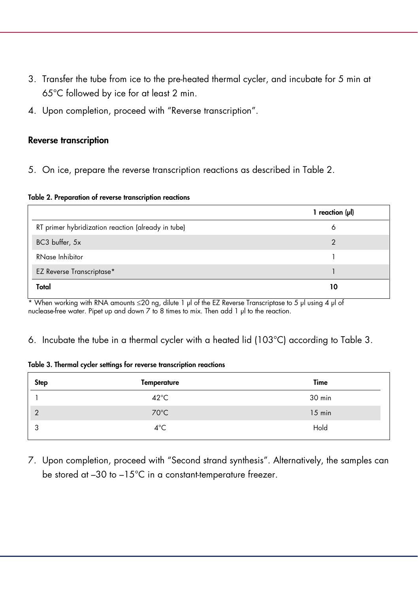- 3. Transfer the tube from ice to the pre-heated thermal cycler, and incubate for 5 min at 65°C followed by ice for at least 2 min.
- 4. Upon completion, proceed with "Reverse transcription".

## Reverse transcription

5. On ice, prepare the reverse transcription reactions as described in Table 2.

#### Table 2. Preparation of reverse transcription reactions

|                                                    | 1 reaction $(\mu I)$ |
|----------------------------------------------------|----------------------|
| RT primer hybridization reaction (already in tube) | ٥                    |
| BC3 buffer, 5x                                     |                      |
| RNase Inhibitor                                    |                      |
| <b>EZ Reverse Transcriptase*</b>                   |                      |
| Total                                              | 10                   |

\* When working with RNA amounts ≤20 ng, dilute 1 µl of the EZ Reverse Transcriptase to 5 µl using 4 µl of nuclease-free water. Pipet up and down 7 to 8 times to mix. Then add 1 µl to the reaction.

### 6. Incubate the tube in a thermal cycler with a heated lid (103°C) according to Table 3.

#### Table 3. Thermal cycler settings for reverse transcription reactions

| <b>Step</b> | <b>Temperature</b> | Time     |
|-------------|--------------------|----------|
|             | $42^{\circ}$ C     | 30 min   |
| $\gamma$    | $70^{\circ}$ C     | $15$ min |
| $\sqrt{2}$  | $4^{\circ}$ C      | Hold     |

7. Upon completion, proceed with "Second strand synthesis". Alternatively, the samples can be stored at –30 to –15°C in a constant-temperature freezer.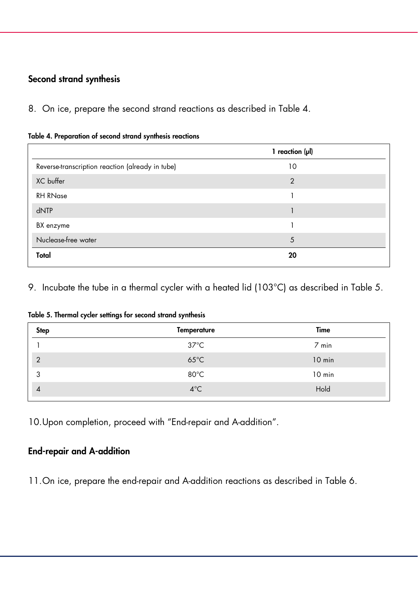# Second strand synthesis

8. On ice, prepare the second strand reactions as described in Table 4.

|  | Table 4. Preparation of second strand synthesis reactions |  |  |  |  |
|--|-----------------------------------------------------------|--|--|--|--|
|  |                                                           |  |  |  |  |

| 1 reaction $(\mu I)$ |  |
|----------------------|--|
| 10                   |  |
| $\overline{2}$       |  |
|                      |  |
|                      |  |
|                      |  |
| 5                    |  |
| 20                   |  |
|                      |  |

9. Incubate the tube in a thermal cycler with a heated lid (103°C) as described in Table 5.

Table 5. Thermal cycler settings for second strand synthesis

| <b>Step</b>    | <b>Temperature</b> | Time     |
|----------------|--------------------|----------|
|                | $37^{\circ}$ C     | $7$ min  |
| $\overline{2}$ | $65^{\circ}$ C     | 10 min   |
| 3              | $80^{\circ}$ C     | $10$ min |
| $\overline{A}$ | $4^{\circ}$ C      | Hold     |
|                |                    |          |

10.Upon completion, proceed with "End-repair and A-addition".

## End-repair and A-addition

11.On ice, prepare the end-repair and A-addition reactions as described in Table 6.